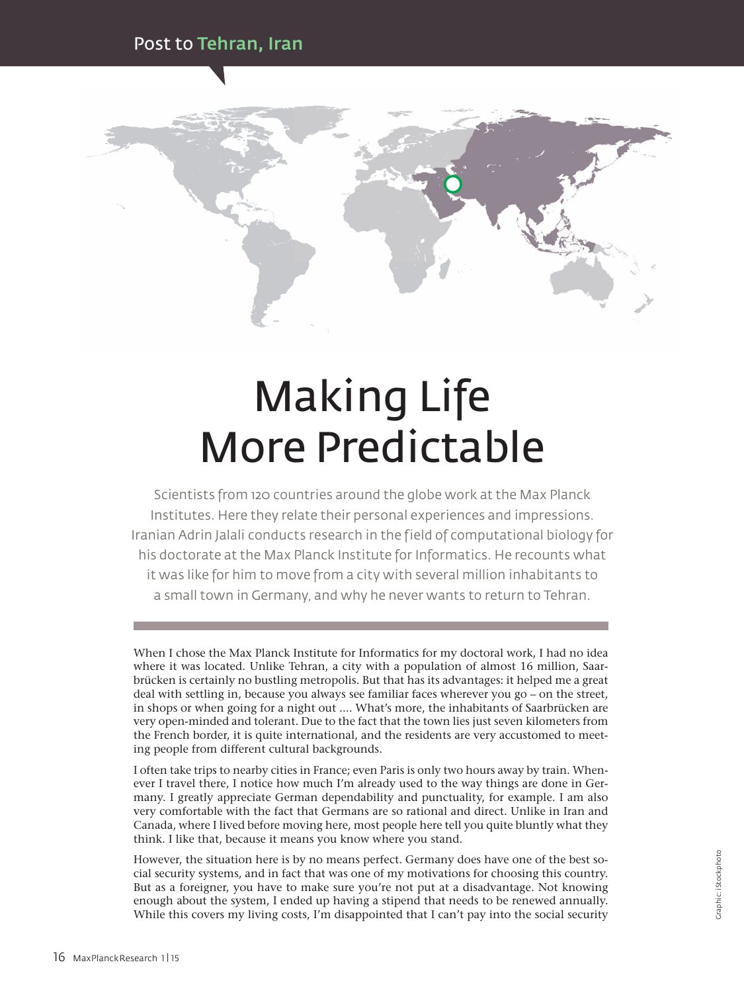

## Making Life More Predictable

Scientists from 120 countries around the globe work at the Max Planck Institutes. Here they relate their personal experiences and impressions. Iranian Adrin Jalali conducts research in the field of computational biology for his doctorate at the Max Planck Institute for Informatics. He recounts what it was like for him to move from a city with several million inhabitants to a small town in Germany, and why he never wants to return to Tehran.

When I chose the Max Planck Institute for Informatics for my doctoral work, I had no idea where it was located. Unlike Tehran, a city with a population of almost 16 million, Saarbrücken is certainly no bustling metropolis. But that has its advantages: it helped me a great deal with settling in, because you always see familiar faces wherever you go – on the street, in shops or when going for a night out .... What's more, the inhabitants of Saarbrücken are very open-minded and tolerant. Due to the fact that the town lies just seven kilometers from the French border, it is quite international, and the residents are very accustomed to meeting people from different cultural backgrounds.

I often take trips to nearby cities in France; even Paris is only two hours away by train. Whenever I travel there, I notice how much I'm already used to the way things are done in Germany. I greatly appreciate German dependability and punctuality, for example. I am also very comfortable with the fact that Germans are so rational and direct. Unlike in Iran and Canada, where I lived before moving here, most people here tell you quite bluntly what they think. I like that, because it means you know where you stand.

However, the situation here is by no means perfect. Germany does have one of the best social security systems, and in fact that was one of my motivations for choosing this country. But as a foreigner, you have to make sure you're not put at a disadvantage. Not knowing enough about the system, I ended up having a stipend that needs to be renewed annually. While this covers my living costs, I'm disappointed that I can't pay into the social security